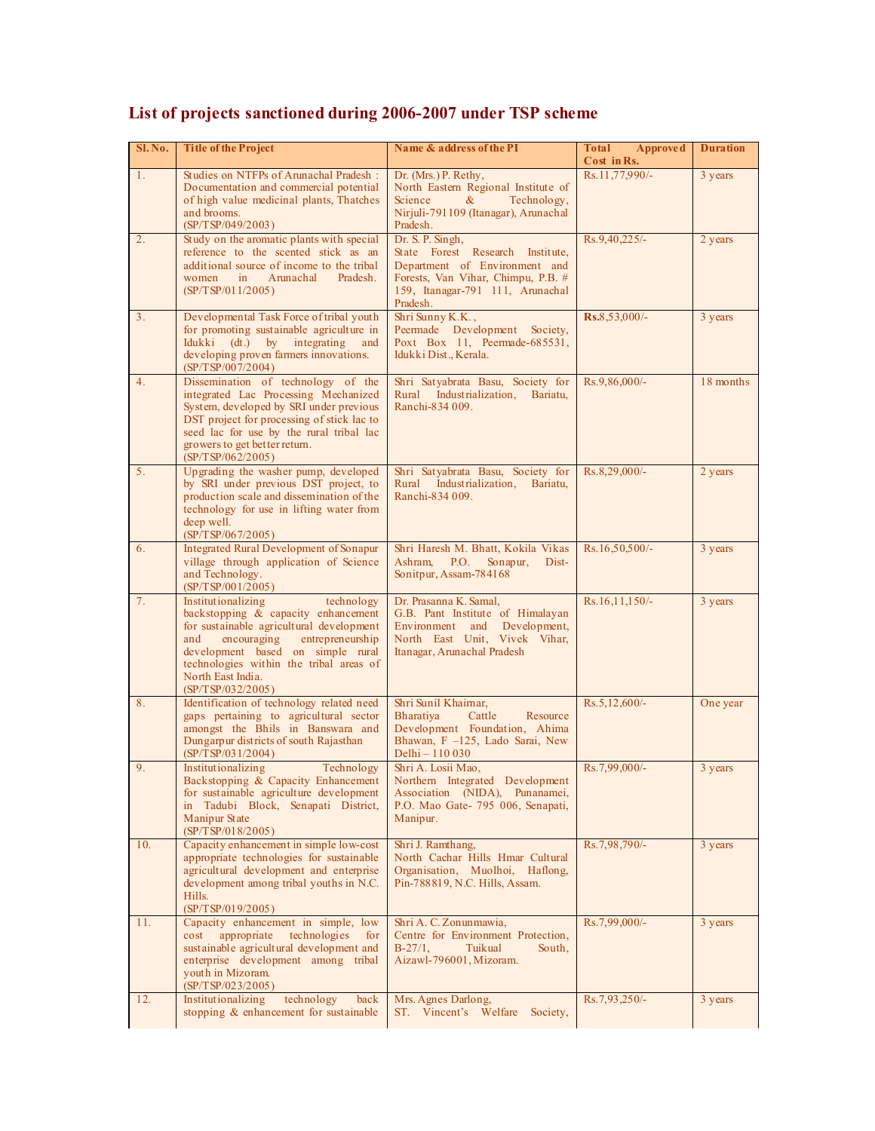| Sl.No.         | <b>Title of the Project</b>                                                                                                                                                                                                                                                             | Name & address of the PI                                                                                                                                                    | <b>Total</b><br>Approved<br>Cost in Rs. | <b>Duration</b> |
|----------------|-----------------------------------------------------------------------------------------------------------------------------------------------------------------------------------------------------------------------------------------------------------------------------------------|-----------------------------------------------------------------------------------------------------------------------------------------------------------------------------|-----------------------------------------|-----------------|
| 1.             | Studies on NTFPs of Arunachal Pradesh:<br>Documentation and commercial potential<br>of high value medicinal plants, Thatches<br>and brooms.<br>(SP/TSP/049/2003)                                                                                                                        | Dr. (Mrs.) P. Rethy,<br>North Eastern Regional Institute of<br>Science<br>$\&$<br>Technology,<br>Nirjuli-791109 (Itanagar), Arunachal<br>Pradesh.                           | Rs.11,77,990/-                          | 3 years         |
| 2.             | Study on the aromatic plants with special<br>reference to the scented stick as an<br>additional source of income to the tribal<br>Arunachal<br>women<br>$\sin$<br>Pradesh.<br>(SP/TSP/011/2005)                                                                                         | Dr. S. P. Singh,<br>State Forest Research Institute,<br>Department of Environment and<br>Forests, Van Vihar, Chimpu, P.B. #<br>159, Itanagar-791 111, Arunachal<br>Pradesh. | Rs.9,40,225/-                           | 2 years         |
| 3 <sub>1</sub> | Developmental Task Force of tribal youth<br>for promoting sustainable agriculture in<br>Idukki<br>(dt.)<br>$\mathbf{b}$ v<br>integrating<br>and<br>developing proven farmers innovations.<br>(SP/TSP/007/2004)                                                                          | Shri Sunny K.K.,<br>Peermade Development Society,<br>Poxt Box 11, Peermade-685531,<br>Idukki Dist., Kerala.                                                                 | Rs.8.53,000/-                           | 3 years         |
| 4.             | Dissemination of technology of the<br>integrated Lac Processing Mechanized<br>System, developed by SRI under previous<br>DST project for processing of stick lac to<br>seed lac for use by the rural tribal lac<br>growers to get better return.<br>(SP/TSP/062/2005)                   | Shri Satyabrata Basu, Society for<br>Rural<br>Industrialization,<br>Bariatu,<br>Ranchi-834 009.                                                                             | Rs.9,86,000/-                           | 18 months       |
| 5 <sub>1</sub> | Upgrading the washer pump, developed<br>by SRI under previous DST project, to<br>production scale and dissemination of the<br>technology for use in lifting water from<br>deep well.<br>(SP/TSP/067/2005)                                                                               | Shri Satyabrata Basu, Society for<br>Rural Industrialization,<br>Bariatu,<br>Ranchi-834 009.                                                                                | Rs.8,29,000/-                           | 2 years         |
| 6.             | Integrated Rural Development of Sonapur<br>village through application of Science<br>and Technology.<br>(SP/TSP/001/2005)                                                                                                                                                               | Shri Haresh M. Bhatt, Kokila Vikas<br>Sonapur,<br>Ashram,<br>P.O.<br>Dist-<br>Sonitpur, Assam-784168                                                                        | $Rs.16,50,500/$ -                       | 3 years         |
| 7.             | Institutionalizing<br>technology<br>backstopping & capacity enhancement<br>for sustainable agricultural development<br>encouraging<br>entrepreneurship<br>and<br>development based on simple rural<br>technologies within the tribal areas of<br>North East India.<br>(SP/TSP/032/2005) | Dr. Prasanna K. Samal.<br>G.B. Pant Institute of Himalayan<br>Environment and Development,<br>North East Unit, Vivek Vihar,<br>Itanagar, Arunachal Pradesh                  | $Rs.16,11,150/-$                        | 3 years         |
| 8.             | Identification of technology related need<br>gaps pertaining to agricultural sector<br>amongst the Bhils in Banswara and<br>Dungarpur districts of south Rajasthan<br>(SP/TSP/031/2004)                                                                                                 | Shri Sunil Khaimar,<br><b>Bharativa</b><br>Cattle<br>Resource<br>Development Foundation, Ahima<br>Bhawan, F -125, Lado Sarai, New<br>Delhi – 110 030                        | $Rs.5,12,600/-$                         | One year        |
| 9.             | Institutionalizing<br>Technology<br>Backstopping & Capacity Enhancement<br>for sustainable agriculture development<br>in Tadubi Block, Senapati District,<br>Manipur State<br>(SP/TSP/018/2005)                                                                                         | Shri A. Losii Mao,<br>Northern Integrated Development<br>Association (NIDA), Punanamei,<br>P.O. Mao Gate- 795 006, Senapati,<br>Manipur.                                    | Rs.7,99,000/-                           | 3 years         |
| 10.            | Capacity enhancement in simple low-cost<br>appropriate technologies for sustainable<br>agricultural development and enterprise<br>development among tribal youths in N.C.<br>Hills.<br>(SP/TSP/019/2005)                                                                                | Shri J. Ramthang,<br>North Cachar Hills Hmar Cultural<br>Organisation, Muolhoi, Haflong,<br>Pin-788819, N.C. Hills, Assam.                                                  | Rs.7,98,790/-                           | 3 years         |
| 11.            | Capacity enhancement in simple, low<br>technologies<br>appropriate<br>cost<br>for<br>sustainable agricultural development and<br>enterprise development among tribal<br>youth in Mizoram.<br>(SP/TSP/023/2005)                                                                          | Shri A. C. Zonunmawia,<br>Centre for Environment Protection,<br>$B-27/1$ .<br>Tuikual<br>South,<br>Aizawl-796001, Mizoram.                                                  | Rs.7,99,000/-                           | 3 years         |
| 12.            | Institutionalizing<br>technology<br>back<br>stopping $\&$ enhancement for sustainable                                                                                                                                                                                                   | Mrs. Agnes Darlong,<br>ST. Vincent's Welfare<br>Society,                                                                                                                    | Rs.7,93,250/-                           | 3 years         |

## **List of projects sanctioned during 2006-2007 under TSP scheme**